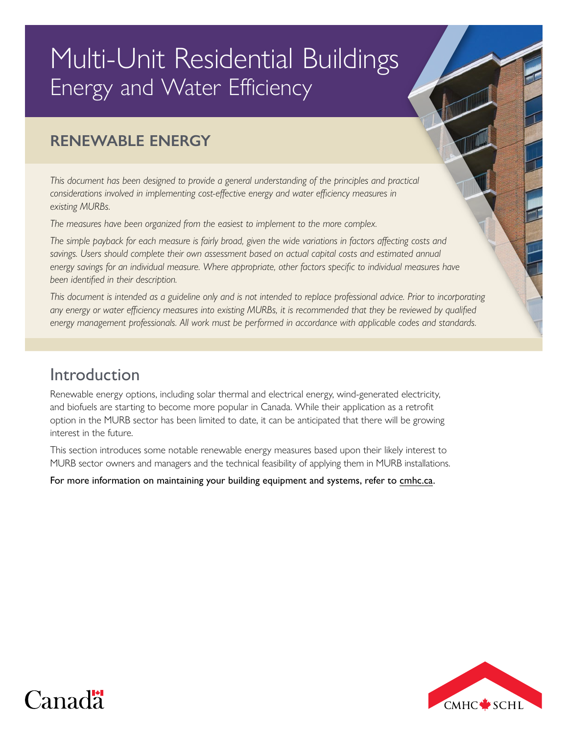# Multi-Unit Residential Buildings Energy and Water Efficiency

# **RENEWABLE ENERGY**

*This document has been designed to provide a general understanding of the principles and practical considerations involved in implementing cost-effective energy and water efficiency measures in existing MURBs.*

*The measures have been organized from the easiest to implement to the more complex.*

*The simple payback for each measure is fairly broad, given the wide variations in factors affecting costs and*  savings. Users should complete their own assessment based on actual capital costs and estimated annual *energy savings for an individual measure. Where appropriate, other factors specific to individual measures have been identified in their description.* 

*This document is intended as a guideline only and is not intended to replace professional advice. Prior to incorporating*  any energy or water efficiency measures into existing MURBs, it is recommended that they be reviewed by qualified *energy management professionals. All work must be performed in accordance with applicable codes and standards.*

# Introduction

Renewable energy options, including solar thermal and electrical energy, wind-generated electricity, and biofuels are starting to become more popular in Canada. While their application as a retrofit option in the MURB sector has been limited to date, it can be anticipated that there will be growing interest in the future.

This section introduces some notable renewable energy measures based upon their likely interest to MURB sector owners and managers and the technical feasibility of applying them in MURB installations.

For more information on maintaining your building equipment and systems, refer to [cmhc.ca.](http://www.cmhc.ca)



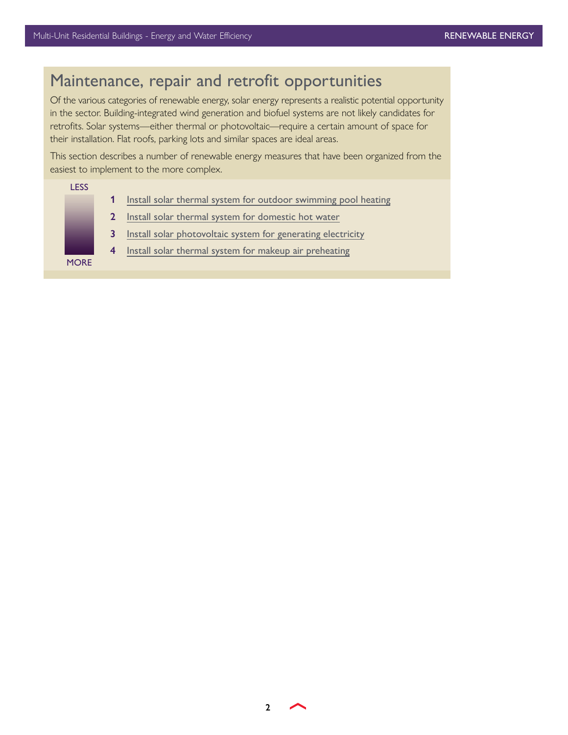**LESS** 

**MORE** 

# Maintenance, repair and retrofit opportunities

Of the various categories of renewable energy, solar energy represents a realistic potential opportunity in the sector. Building-integrated wind generation and biofuel systems are not likely candidates for retrofits. Solar systems—either thermal or photovoltaic—require a certain amount of space for their installation. Flat roofs, parking lots and similar spaces are ideal areas.

This section describes a number of renewable energy measures that have been organized from the easiest to implement to the more complex.

| 1            | Install solar thermal system for outdoor swimming pool heating |
|--------------|----------------------------------------------------------------|
| $\mathbf{2}$ | Install solar thermal system for domestic hot water            |
| 3            | Install solar photovoltaic system for generating electricity   |
| 4            | Install solar thermal system for makeup air preheating         |
|              |                                                                |
|              |                                                                |

**2**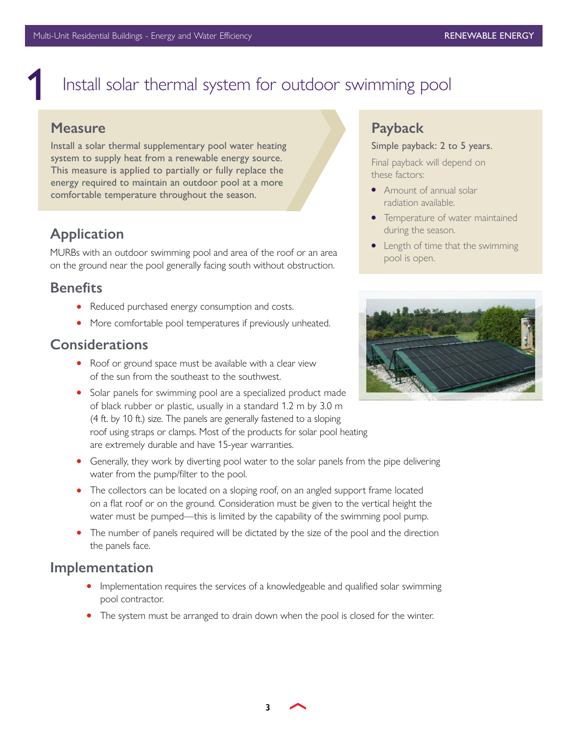# <span id="page-2-0"></span>Install solar thermal system for outdoor swimming pool

### **Measure**

Install a solar thermal supplementary pool water heating system to supply heat from a renewable energy source. This measure is applied to partially or fully replace the energy required to maintain an outdoor pool at a more comfortable temperature throughout the season.

### **Application**

MURBs with an outdoor swimming pool and area of the roof or an area on the ground near the pool generally facing south without obstruction.

### **Benefits**

- Reduced purchased energy consumption and costs.
- More comfortable pool temperatures if previously unheated.

### **Considerations**

- Roof or ground space must be available with a clear view of the sun from the southeast to the southwest.
- Solar panels for swimming pool are a specialized product made of black rubber or plastic, usually in a standard 1.2 m by 3.0 m (4 ft. by 10 ft.) size. The panels are generally fastened to a sloping roof using straps or clamps. Most of the products for solar pool heating are extremely durable and have 15-year warranties.
- Generally, they work by diverting pool water to the solar panels from the pipe delivering water from the pump/filter to the pool.
- The collectors can be located on a sloping roof, on an angled support frame located on a flat roof or on the ground. Consideration must be given to the vertical height the water must be pumped—this is limited by the capability of the swimming pool pump.
- The number of panels required will be dictated by the size of the pool and the direction the panels face.

### **Implementation**

- Implementation requires the services of a knowledgeable and qualified solar swimming pool contractor.
- The system must be arranged to drain down when the pool is closed for the winter.

### **Payback**

#### Simple payback: 2 to 5 years.

Final payback will depend on these factors:

- Amount of annual solar radiation available.
- Temperature of water maintained during the season.
- Length of time that the swimming pool is open.



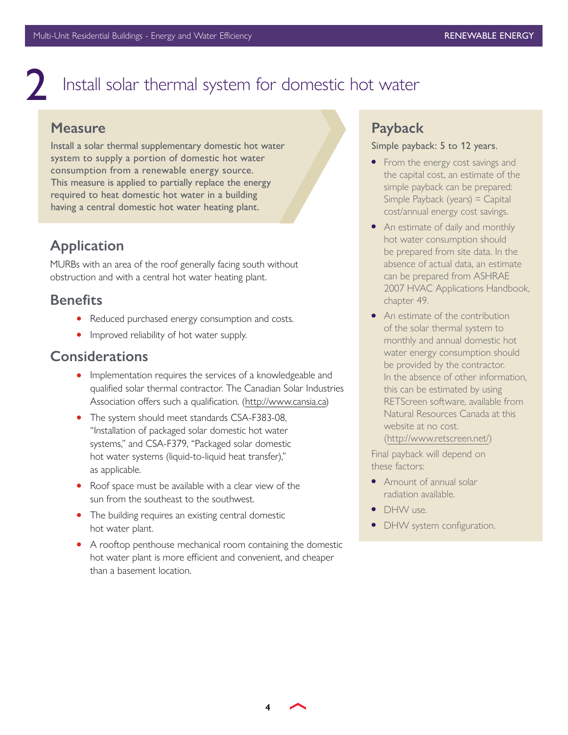# Install solar thermal system for domestic hot water

### **Measure**

<span id="page-3-0"></span>2

Install a solar thermal supplementary domestic hot water system to supply a portion of domestic hot water consumption from a renewable energy source. This measure is applied to partially replace the energy required to heat domestic hot water in a building having a central domestic hot water heating plant.

# **Application**

MURBs with an area of the roof generally facing south without obstruction and with a central hot water heating plant.

### **Benefits**

- Reduced purchased energy consumption and costs.
- Improved reliability of hot water supply.

### **Considerations**

- Implementation requires the services of a knowledgeable and qualified solar thermal contractor. The Canadian Solar Industries Association offers such a qualification. [\(http://www.cansia.ca](http://www.cansia.ca))
- The system should meet standards CSA-F383-08, "Installation of packaged solar domestic hot water systems," and CSA-F379, "Packaged solar domestic hot water systems (liquid-to-liquid heat transfer)," as applicable.
- Roof space must be available with a clear view of the sun from the southeast to the southwest.
- The building requires an existing central domestic hot water plant.
- A rooftop penthouse mechanical room containing the domestic hot water plant is more efficient and convenient, and cheaper than a basement location.

# **Payback**

#### Simple payback: 5 to 12 years.

- From the energy cost savings and the capital cost, an estimate of the simple payback can be prepared: Simple Payback (years) = Capital cost/annual energy cost savings.
- An estimate of daily and monthly hot water consumption should be prepared from site data. In the absence of actual data, an estimate can be prepared from ASHRAE 2007 HVAC Applications Handbook, chapter 49.
- An estimate of the contribution of the solar thermal system to monthly and annual domestic hot water energy consumption should be provided by the contractor. In the absence of other information, this can be estimated by using RETScreen software, available from Natural Resources Canada at this website at no cost. [\(http://www.retscreen.net/](http://www.retscreen.net/))

Final payback will depend on these factors:

- Amount of annual solar radiation available.
- **DHW** use.
- DHW system configuration.

**4**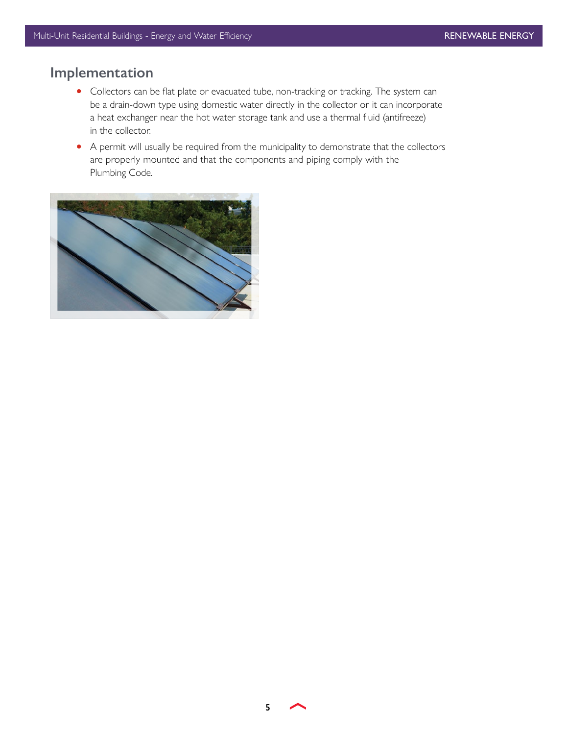# **Implementation**

- Collectors can be flat plate or evacuated tube, non-tracking or tracking. The system can be a drain-down type using domestic water directly in the collector or it can incorporate a heat exchanger near the hot water storage tank and use a thermal fluid (antifreeze) in the collector.
- A permit will usually be required from the municipality to demonstrate that the collectors are properly mounted and that the components and piping comply with the Plumbing Code.



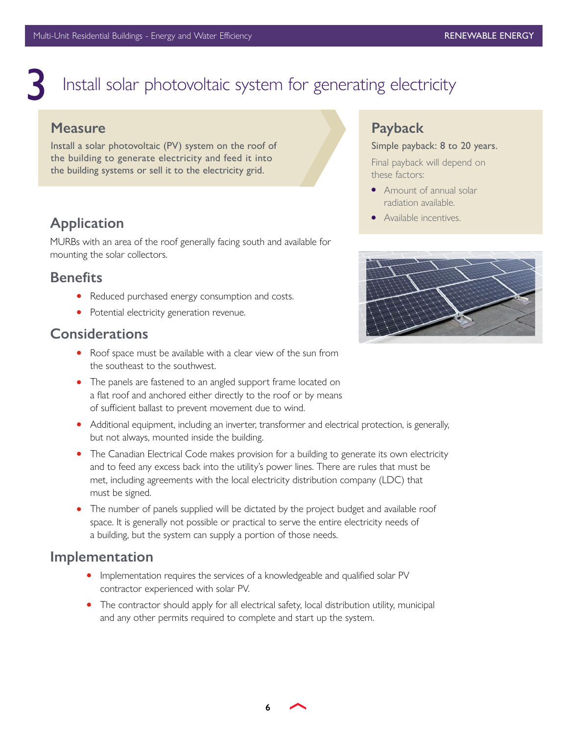# <span id="page-5-0"></span>Install solar photovoltaic system for generating electricity

### **Measure**

Install a solar photovoltaic (PV) system on the roof of the building to generate electricity and feed it into the building systems or sell it to the electricity grid.

## **Application**

MURBs with an area of the roof generally facing south and available for mounting the solar collectors.

### **Benefits**

- Reduced purchased energy consumption and costs.
- Potential electricity generation revenue.

### **Considerations**

- Roof space must be available with a clear view of the sun from the southeast to the southwest.
- The panels are fastened to an angled support frame located on a flat roof and anchored either directly to the roof or by means of sufficient ballast to prevent movement due to wind.
- Additional equipment, including an inverter, transformer and electrical protection, is generally, but not always, mounted inside the building.
- The Canadian Electrical Code makes provision for a building to generate its own electricity and to feed any excess back into the utility's power lines. There are rules that must be met, including agreements with the local electricity distribution company (LDC) that must be signed.
- The number of panels supplied will be dictated by the project budget and available roof space. It is generally not possible or practical to serve the entire electricity needs of a building, but the system can supply a portion of those needs.

### **Implementation**

- Implementation requires the services of a knowledgeable and qualified solar PV contractor experienced with solar PV.
- The contractor should apply for all electrical safety, local distribution utility, municipal and any other permits required to complete and start up the system.

### **Payback**

#### Simple payback: 8 to 20 years.

Final payback will depend on these factors:

- Amount of annual solar radiation available.
- Available incentives.



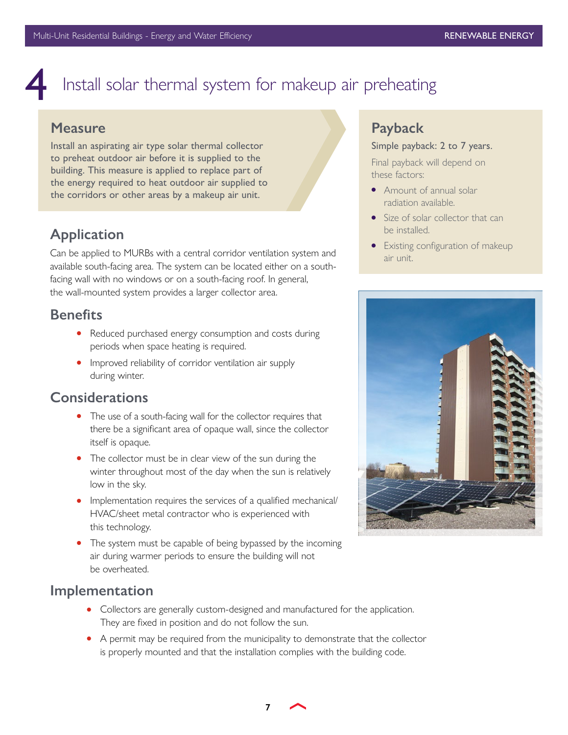# <span id="page-6-0"></span>Install solar thermal system for makeup air preheating

### **Measure**

Install an aspirating air type solar thermal collector to preheat outdoor air before it is supplied to the building. This measure is applied to replace part of the energy required to heat outdoor air supplied to the corridors or other areas by a makeup air unit.

### **Application**

Can be applied to MURBs with a central corridor ventilation system and available south-facing area. The system can be located either on a southfacing wall with no windows or on a south-facing roof. In general, the wall-mounted system provides a larger collector area.

### **Benefits**

- Reduced purchased energy consumption and costs during periods when space heating is required.
- Improved reliability of corridor ventilation air supply during winter.

### **Considerations**

- The use of a south-facing wall for the collector requires that there be a significant area of opaque wall, since the collector itself is opaque.
- The collector must be in clear view of the sun during the winter throughout most of the day when the sun is relatively low in the sky.
- Implementation requires the services of a qualified mechanical/ HVAC/sheet metal contractor who is experienced with this technology.
- The system must be capable of being bypassed by the incoming air during warmer periods to ensure the building will not be overheated.

### **Implementation**

- Collectors are generally custom-designed and manufactured for the application. They are fixed in position and do not follow the sun.
- A permit may be required from the municipality to demonstrate that the collector is properly mounted and that the installation complies with the building code.

### **Payback**

#### Simple payback: 2 to 7 years.

Final payback will depend on these factors:

- Amount of annual solar radiation available.
- Size of solar collector that can be installed.
- Existing configuration of makeup air unit.